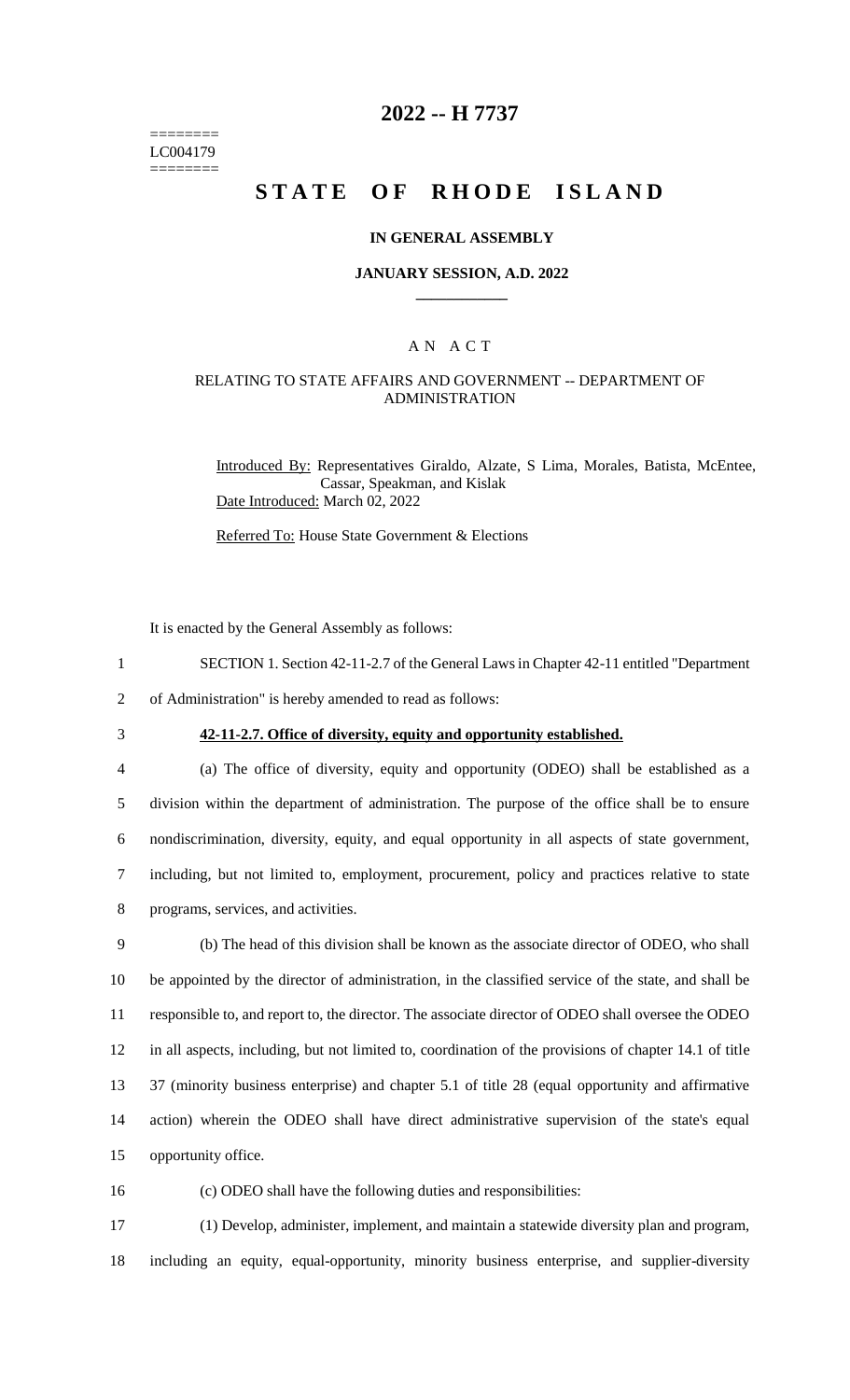======== LC004179 ========

## **2022 -- H 7737**

# **STATE OF RHODE ISLAND**

### **IN GENERAL ASSEMBLY**

#### **JANUARY SESSION, A.D. 2022 \_\_\_\_\_\_\_\_\_\_\_\_**

## A N A C T

### RELATING TO STATE AFFAIRS AND GOVERNMENT -- DEPARTMENT OF ADMINISTRATION

Introduced By: Representatives Giraldo, Alzate, S Lima, Morales, Batista, McEntee, Cassar, Speakman, and Kislak Date Introduced: March 02, 2022

Referred To: House State Government & Elections

It is enacted by the General Assembly as follows:

1 SECTION 1. Section 42-11-2.7 of the General Laws in Chapter 42-11 entitled "Department

2 of Administration" is hereby amended to read as follows:

# 3 **42-11-2.7. Office of diversity, equity and opportunity established.**

 (a) The office of diversity, equity and opportunity (ODEO) shall be established as a division within the department of administration. The purpose of the office shall be to ensure nondiscrimination, diversity, equity, and equal opportunity in all aspects of state government, including, but not limited to, employment, procurement, policy and practices relative to state programs, services, and activities.

 (b) The head of this division shall be known as the associate director of ODEO, who shall be appointed by the director of administration, in the classified service of the state, and shall be responsible to, and report to, the director. The associate director of ODEO shall oversee the ODEO in all aspects, including, but not limited to, coordination of the provisions of chapter 14.1 of title 37 (minority business enterprise) and chapter 5.1 of title 28 (equal opportunity and affirmative action) wherein the ODEO shall have direct administrative supervision of the state's equal opportunity office.

16 (c) ODEO shall have the following duties and responsibilities:

17 (1) Develop, administer, implement, and maintain a statewide diversity plan and program, 18 including an equity, equal-opportunity, minority business enterprise, and supplier-diversity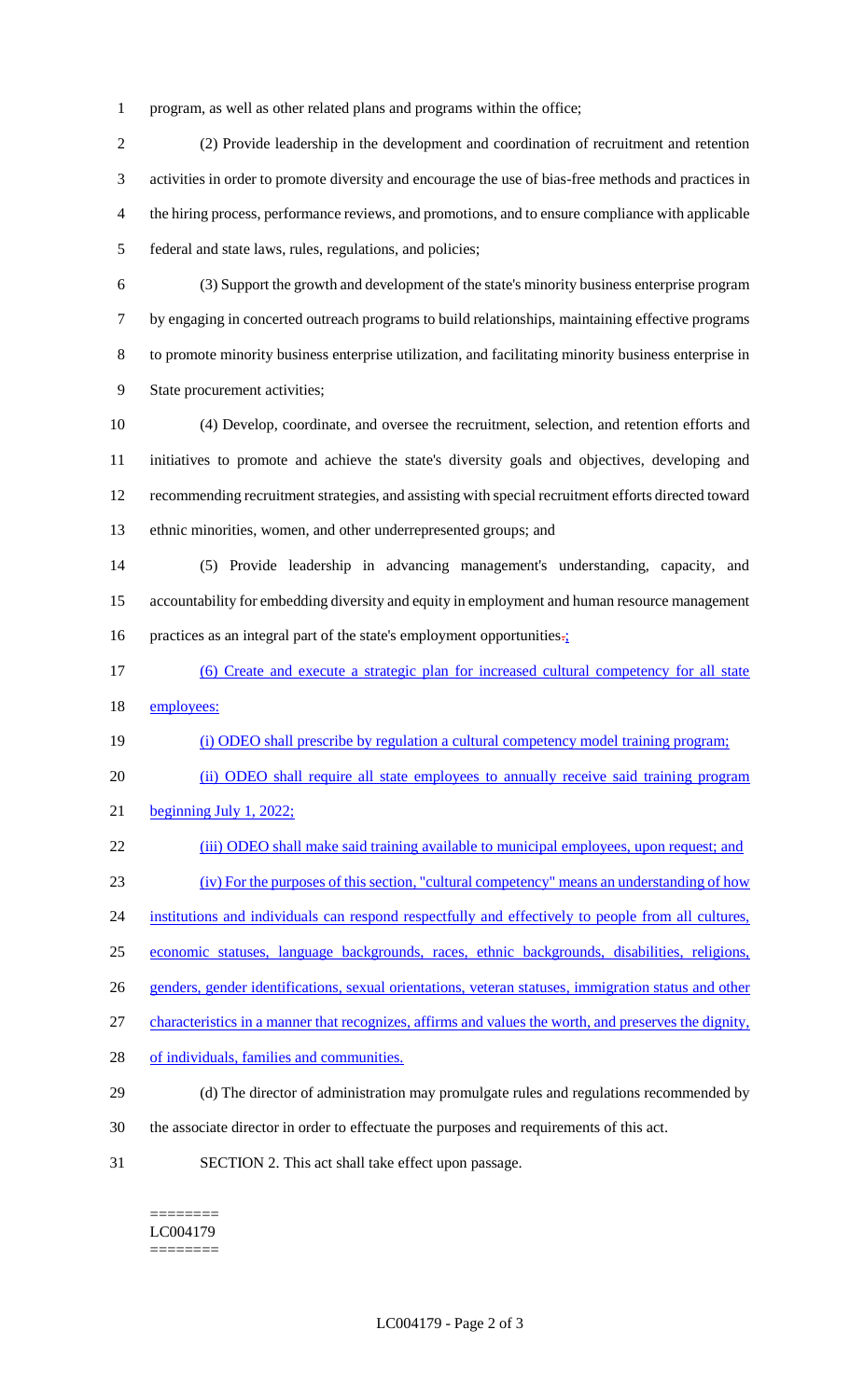program, as well as other related plans and programs within the office;

 (2) Provide leadership in the development and coordination of recruitment and retention activities in order to promote diversity and encourage the use of bias-free methods and practices in the hiring process, performance reviews, and promotions, and to ensure compliance with applicable federal and state laws, rules, regulations, and policies;

 (3) Support the growth and development of the state's minority business enterprise program by engaging in concerted outreach programs to build relationships, maintaining effective programs to promote minority business enterprise utilization, and facilitating minority business enterprise in State procurement activities;

 (4) Develop, coordinate, and oversee the recruitment, selection, and retention efforts and initiatives to promote and achieve the state's diversity goals and objectives, developing and recommending recruitment strategies, and assisting with special recruitment efforts directed toward ethnic minorities, women, and other underrepresented groups; and

 (5) Provide leadership in advancing management's understanding, capacity, and accountability for embedding diversity and equity in employment and human resource management 16 practices as an integral part of the state's employment opportunities.

- (6) Create and execute a strategic plan for increased cultural competency for all state 18 employees:
- (i) ODEO shall prescribe by regulation a cultural competency model training program;

(ii) ODEO shall require all state employees to annually receive said training program

beginning July 1, 2022;

22 (iii) ODEO shall make said training available to municipal employees, upon request; and

(iv) For the purposes of this section, "cultural competency" means an understanding of how

24 institutions and individuals can respond respectfully and effectively to people from all cultures,

economic statuses, language backgrounds, races, ethnic backgrounds, disabilities, religions,

genders, gender identifications, sexual orientations, veteran statuses, immigration status and other

characteristics in a manner that recognizes, affirms and values the worth, and preserves the dignity,

- 28 of individuals, families and communities.
- (d) The director of administration may promulgate rules and regulations recommended by
- the associate director in order to effectuate the purposes and requirements of this act.
- SECTION 2. This act shall take effect upon passage.

======== LC004179 ========